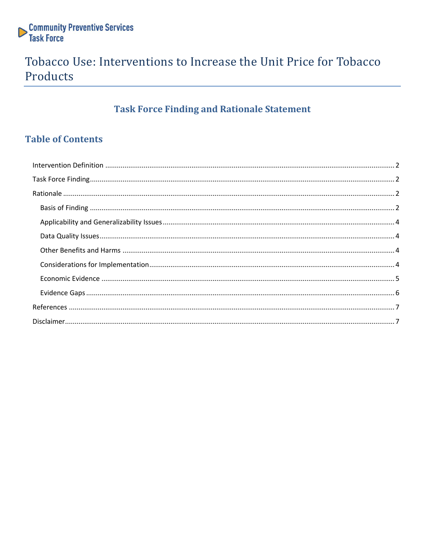

# Tobacco Use: Interventions to Increase the Unit Price for Tobacco Products

# **Task Force Finding and Rationale Statement**

# **Table of Contents**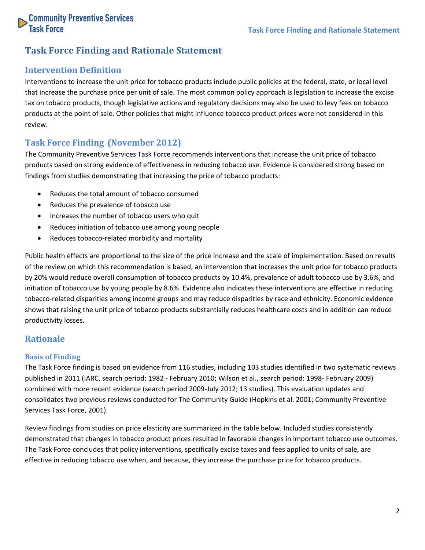

# **Task Force Finding and Rationale Statement**

## <span id="page-1-0"></span>**Intervention Definition**

Interventions to increase the unit price for tobacco products include public policies at the federal, state, or local level that increase the purchase price per unit of sale. The most common policy approach is legislation to increase the excise tax on tobacco products, though legislative actions and regulatory decisions may also be used to levy fees on tobacco products at the point of sale. Other policies that might influence tobacco product prices were not considered in this review.

## <span id="page-1-1"></span>**Task Force Finding (November 2012)**

The Community Preventive Services Task Force recommends interventions that increase the unit price of tobacco products based on strong evidence of effectiveness in reducing tobacco use. Evidence is considered strong based on findings from studies demonstrating that increasing the price of tobacco products:

- Reduces the total amount of tobacco consumed
- Reduces the prevalence of tobacco use
- Increases the number of tobacco users who quit
- Reduces initiation of tobacco use among young people
- Reduces tobacco-related morbidity and mortality

Public health effects are proportional to the size of the price increase and the scale of implementation. Based on results of the review on which this recommendation is based, an intervention that increases the unit price for tobacco products by 20% would reduce overall consumption of tobacco products by 10.4%, prevalence of adult tobacco use by 3.6%, and initiation of tobacco use by young people by 8.6%. Evidence also indicates these interventions are effective in reducing tobacco-related disparities among income groups and may reduce disparities by race and ethnicity. Economic evidence shows that raising the unit price of tobacco products substantially reduces healthcare costs and in addition can reduce productivity losses.

## <span id="page-1-2"></span>**Rationale**

#### <span id="page-1-3"></span>**Basis of Finding**

The Task Force finding is based on evidence from 116 studies, including 103 studies identified in two systematic reviews published in 2011 (IARC, search period: 1982 - February 2010; Wilson et al., search period: 1998- February 2009) combined with more recent evidence (search period 2009-July 2012; 13 studies). This evaluation updates and consolidates two previous reviews conducted for The Community Guide (Hopkins et al. 2001; Community Preventive Services Task Force, 2001).

Review findings from studies on price elasticity are summarized in the table below. Included studies consistently demonstrated that changes in tobacco product prices resulted in favorable changes in important tobacco use outcomes. The Task Force concludes that policy interventions, specifically excise taxes and fees applied to units of sale, are effective in reducing tobacco use when, and because, they increase the purchase price for tobacco products.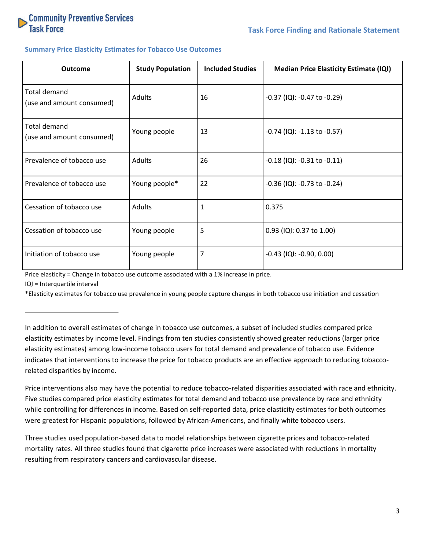

#### **Summary Price Elasticity Estimates for Tobacco Use Outcomes**

| <b>Outcome</b>                            | <b>Study Population</b> | <b>Included Studies</b> | <b>Median Price Elasticity Estimate (IQI)</b> |
|-------------------------------------------|-------------------------|-------------------------|-----------------------------------------------|
| Total demand<br>(use and amount consumed) | Adults                  | 16                      | $-0.37$ (IQI: $-0.47$ to $-0.29$ )            |
| Total demand<br>(use and amount consumed) | Young people            | 13                      | $-0.74$ (IQI: $-1.13$ to $-0.57$ )            |
| Prevalence of tobacco use                 | Adults                  | 26                      | $-0.18$ (IQI: $-0.31$ to $-0.11$ )            |
| Prevalence of tobacco use                 | Young people*           | 22                      | $-0.36$ (IQI: $-0.73$ to $-0.24$ )            |
| Cessation of tobacco use                  | <b>Adults</b>           | 1                       | 0.375                                         |
| Cessation of tobacco use                  | Young people            | 5                       | 0.93 (IQI: 0.37 to 1.00)                      |
| Initiation of tobacco use                 | Young people            | 7                       | $-0.43$ (IQI: $-0.90$ , 0.00)                 |

Price elasticity = Change in tobacco use outcome associated with a 1% increase in price.

IQI = Interquartile interval

\*Elasticity estimates for tobacco use prevalence in young people capture changes in both tobacco use initiation and cessation

In addition to overall estimates of change in tobacco use outcomes, a subset of included studies compared price elasticity estimates by income level. Findings from ten studies consistently showed greater reductions (larger price elasticity estimates) among low-income tobacco users for total demand and prevalence of tobacco use. Evidence indicates that interventions to increase the price for tobacco products are an effective approach to reducing tobaccorelated disparities by income.

Price interventions also may have the potential to reduce tobacco-related disparities associated with race and ethnicity. Five studies compared price elasticity estimates for total demand and tobacco use prevalence by race and ethnicity while controlling for differences in income. Based on self-reported data, price elasticity estimates for both outcomes were greatest for Hispanic populations, followed by African-Americans, and finally white tobacco users.

Three studies used population-based data to model relationships between cigarette prices and tobacco-related mortality rates. All three studies found that cigarette price increases were associated with reductions in mortality resulting from respiratory cancers and cardiovascular disease.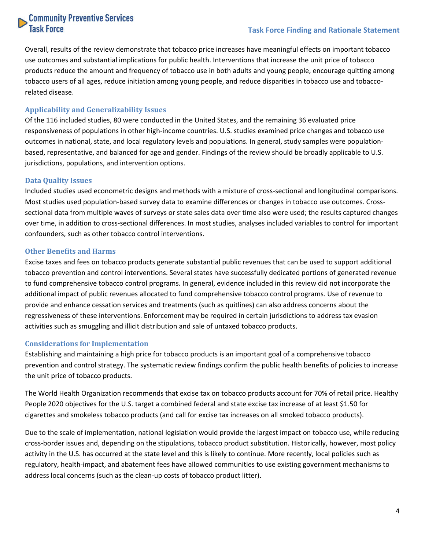# **Community Preventive Services**<br>Task Force

### **Task Force Finding and Rationale Statement**

Overall, results of the review demonstrate that tobacco price increases have meaningful effects on important tobacco use outcomes and substantial implications for public health. Interventions that increase the unit price of tobacco products reduce the amount and frequency of tobacco use in both adults and young people, encourage quitting among tobacco users of all ages, reduce initiation among young people, and reduce disparities in tobacco use and tobaccorelated disease.

#### <span id="page-3-0"></span>**Applicability and Generalizability Issues**

Of the 116 included studies, 80 were conducted in the United States, and the remaining 36 evaluated price responsiveness of populations in other high-income countries. U.S. studies examined price changes and tobacco use outcomes in national, state, and local regulatory levels and populations. In general, study samples were populationbased, representative, and balanced for age and gender. Findings of the review should be broadly applicable to U.S. jurisdictions, populations, and intervention options.

#### <span id="page-3-1"></span>**Data Quality Issues**

Included studies used econometric designs and methods with a mixture of cross-sectional and longitudinal comparisons. Most studies used population-based survey data to examine differences or changes in tobacco use outcomes. Crosssectional data from multiple waves of surveys or state sales data over time also were used; the results captured changes over time, in addition to cross-sectional differences. In most studies, analyses included variables to control for important confounders, such as other tobacco control interventions.

#### <span id="page-3-2"></span>**Other Benefits and Harms**

Excise taxes and fees on tobacco products generate substantial public revenues that can be used to support additional tobacco prevention and control interventions. Several states have successfully dedicated portions of generated revenue to fund comprehensive tobacco control programs. In general, evidence included in this review did not incorporate the additional impact of public revenues allocated to fund comprehensive tobacco control programs. Use of revenue to provide and enhance cessation services and treatments (such as quitlines) can also address concerns about the regressiveness of these interventions. Enforcement may be required in certain jurisdictions to address tax evasion activities such as smuggling and illicit distribution and sale of untaxed tobacco products.

#### <span id="page-3-3"></span>**Considerations for Implementation**

Establishing and maintaining a high price for tobacco products is an important goal of a comprehensive tobacco prevention and control strategy. The systematic review findings confirm the public health benefits of policies to increase the unit price of tobacco products.

The World Health Organization recommends that excise tax on tobacco products account for 70% of retail price. Healthy People 2020 objectives for the U.S. target a combined federal and state excise tax increase of at least \$1.50 for cigarettes and smokeless tobacco products (and call for excise tax increases on all smoked tobacco products).

Due to the scale of implementation, national legislation would provide the largest impact on tobacco use, while reducing cross-border issues and, depending on the stipulations, tobacco product substitution. Historically, however, most policy activity in the U.S. has occurred at the state level and this is likely to continue. More recently, local policies such as regulatory, health-impact, and abatement fees have allowed communities to use existing government mechanisms to address local concerns (such as the clean-up costs of tobacco product litter).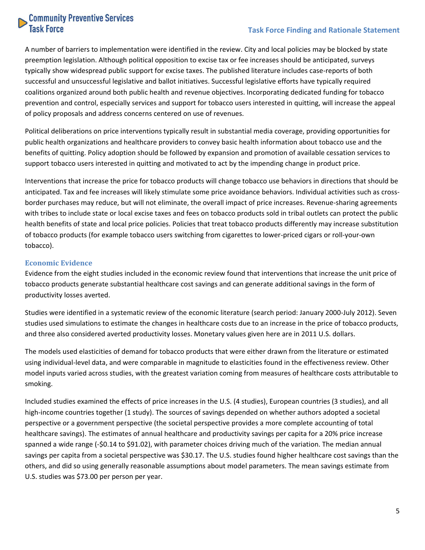# **Community Preventive Services**<br>Task Force

### **Task Force Finding and Rationale Statement**

A number of barriers to implementation were identified in the review. City and local policies may be blocked by state preemption legislation. Although political opposition to excise tax or fee increases should be anticipated, surveys typically show widespread public support for excise taxes. The published literature includes case-reports of both successful and unsuccessful legislative and ballot initiatives. Successful legislative efforts have typically required coalitions organized around both public health and revenue objectives. Incorporating dedicated funding for tobacco prevention and control, especially services and support for tobacco users interested in quitting, will increase the appeal of policy proposals and address concerns centered on use of revenues.

Political deliberations on price interventions typically result in substantial media coverage, providing opportunities for public health organizations and healthcare providers to convey basic health information about tobacco use and the benefits of quitting. Policy adoption should be followed by expansion and promotion of available cessation services to support tobacco users interested in quitting and motivated to act by the impending change in product price.

Interventions that increase the price for tobacco products will change tobacco use behaviors in directions that should be anticipated. Tax and fee increases will likely stimulate some price avoidance behaviors. Individual activities such as crossborder purchases may reduce, but will not eliminate, the overall impact of price increases. Revenue-sharing agreements with tribes to include state or local excise taxes and fees on tobacco products sold in tribal outlets can protect the public health benefits of state and local price policies. Policies that treat tobacco products differently may increase substitution of tobacco products (for example tobacco users switching from cigarettes to lower-priced cigars or roll-your-own tobacco).

#### <span id="page-4-0"></span>**Economic Evidence**

Evidence from the eight studies included in the economic review found that interventions that increase the unit price of tobacco products generate substantial healthcare cost savings and can generate additional savings in the form of productivity losses averted.

Studies were identified in a systematic review of the economic literature (search period: January 2000-July 2012). Seven studies used simulations to estimate the changes in healthcare costs due to an increase in the price of tobacco products, and three also considered averted productivity losses. Monetary values given here are in 2011 U.S. dollars.

The models used elasticities of demand for tobacco products that were either drawn from the literature or estimated using individual-level data, and were comparable in magnitude to elasticities found in the effectiveness review. Other model inputs varied across studies, with the greatest variation coming from measures of healthcare costs attributable to smoking.

Included studies examined the effects of price increases in the U.S. (4 studies), European countries (3 studies), and all high-income countries together (1 study). The sources of savings depended on whether authors adopted a societal perspective or a government perspective (the societal perspective provides a more complete accounting of total healthcare savings). The estimates of annual healthcare and productivity savings per capita for a 20% price increase spanned a wide range (-\$0.14 to \$91.02), with parameter choices driving much of the variation. The median annual savings per capita from a societal perspective was \$30.17. The U.S. studies found higher healthcare cost savings than the others, and did so using generally reasonable assumptions about model parameters. The mean savings estimate from U.S. studies was \$73.00 per person per year.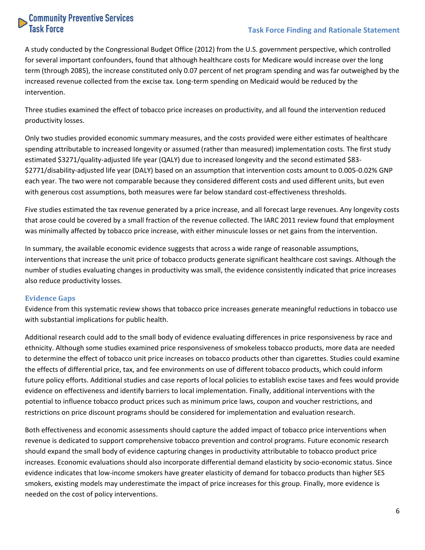# **Community Preventive Services**<br>Task Force

## **Task Force Finding and Rationale Statement**

A study conducted by the Congressional Budget Office (2012) from the U.S. government perspective, which controlled for several important confounders, found that although healthcare costs for Medicare would increase over the long term (through 2085), the increase constituted only 0.07 percent of net program spending and was far outweighed by the increased revenue collected from the excise tax. Long-term spending on Medicaid would be reduced by the intervention.

Three studies examined the effect of tobacco price increases on productivity, and all found the intervention reduced productivity losses.

Only two studies provided economic summary measures, and the costs provided were either estimates of healthcare spending attributable to increased longevity or assumed (rather than measured) implementation costs. The first study estimated \$3271/quality-adjusted life year (QALY) due to increased longevity and the second estimated \$83- \$2771/disability-adjusted life year (DALY) based on an assumption that intervention costs amount to 0.005-0.02% GNP each year. The two were not comparable because they considered different costs and used different units, but even with generous cost assumptions, both measures were far below standard cost-effectiveness thresholds.

Five studies estimated the tax revenue generated by a price increase, and all forecast large revenues. Any longevity costs that arose could be covered by a small fraction of the revenue collected. The IARC 2011 review found that employment was minimally affected by tobacco price increase, with either minuscule losses or net gains from the intervention.

In summary, the available economic evidence suggests that across a wide range of reasonable assumptions, interventions that increase the unit price of tobacco products generate significant healthcare cost savings. Although the number of studies evaluating changes in productivity was small, the evidence consistently indicated that price increases also reduce productivity losses.

#### <span id="page-5-0"></span>**Evidence Gaps**

Evidence from this systematic review shows that tobacco price increases generate meaningful reductions in tobacco use with substantial implications for public health.

Additional research could add to the small body of evidence evaluating differences in price responsiveness by race and ethnicity. Although some studies examined price responsiveness of smokeless tobacco products, more data are needed to determine the effect of tobacco unit price increases on tobacco products other than cigarettes. Studies could examine the effects of differential price, tax, and fee environments on use of different tobacco products, which could inform future policy efforts. Additional studies and case reports of local policies to establish excise taxes and fees would provide evidence on effectiveness and identify barriers to local implementation. Finally, additional interventions with the potential to influence tobacco product prices such as minimum price laws, coupon and voucher restrictions, and restrictions on price discount programs should be considered for implementation and evaluation research.

Both effectiveness and economic assessments should capture the added impact of tobacco price interventions when revenue is dedicated to support comprehensive tobacco prevention and control programs. Future economic research should expand the small body of evidence capturing changes in productivity attributable to tobacco product price increases. Economic evaluations should also incorporate differential demand elasticity by socio-economic status. Since evidence indicates that low-income smokers have greater elasticity of demand for tobacco products than higher SES smokers, existing models may underestimate the impact of price increases for this group. Finally, more evidence is needed on the cost of policy interventions.